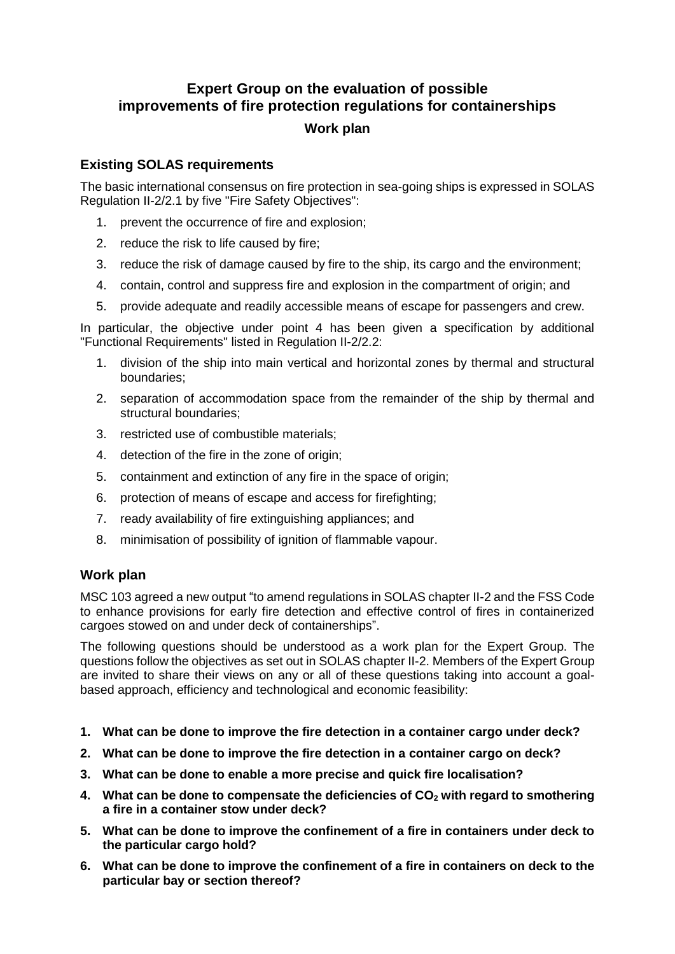# **Expert Group on the evaluation of possible improvements of fire protection regulations for containerships**

### **Work plan**

## **Existing SOLAS requirements**

The basic international consensus on fire protection in sea-going ships is expressed in SOLAS Regulation II-2/2.1 by five "Fire Safety Objectives":

- prevent the occurrence of fire and explosion;
- 2. reduce the risk to life caused by fire;
- 3. reduce the risk of damage caused by fire to the ship, its cargo and the environment;
- 4. contain, control and suppress fire and explosion in the compartment of origin; and
- 5. provide adequate and readily accessible means of escape for passengers and crew.

In particular, the objective under point 4 has been given a specification by additional "Functional Requirements" listed in Regulation II-2/2.2:

- 1. division of the ship into main vertical and horizontal zones by thermal and structural boundaries;
- 2. separation of accommodation space from the remainder of the ship by thermal and structural boundaries;
- 3. restricted use of combustible materials;
- 4. detection of the fire in the zone of origin;
- 5. containment and extinction of any fire in the space of origin;
- 6. protection of means of escape and access for firefighting;
- 7. ready availability of fire extinguishing appliances; and
- 8. minimisation of possibility of ignition of flammable vapour.

#### **Work plan**

MSC 103 agreed a new output "to amend regulations in SOLAS chapter II-2 and the FSS Code to enhance provisions for early fire detection and effective control of fires in containerized cargoes stowed on and under deck of containerships".

The following questions should be understood as a work plan for the Expert Group. The questions follow the objectives as set out in SOLAS chapter II-2. Members of the Expert Group are invited to share their views on any or all of these questions taking into account a goalbased approach, efficiency and technological and economic feasibility:

- **1. What can be done to improve the fire detection in a container cargo under deck?**
- **2. What can be done to improve the fire detection in a container cargo on deck?**
- **3. What can be done to enable a more precise and quick fire localisation?**
- **4. What can be done to compensate the deficiencies of CO<sup>2</sup> with regard to smothering a fire in a container stow under deck?**
- **5. What can be done to improve the confinement of a fire in containers under deck to the particular cargo hold?**
- **6. What can be done to improve the confinement of a fire in containers on deck to the particular bay or section thereof?**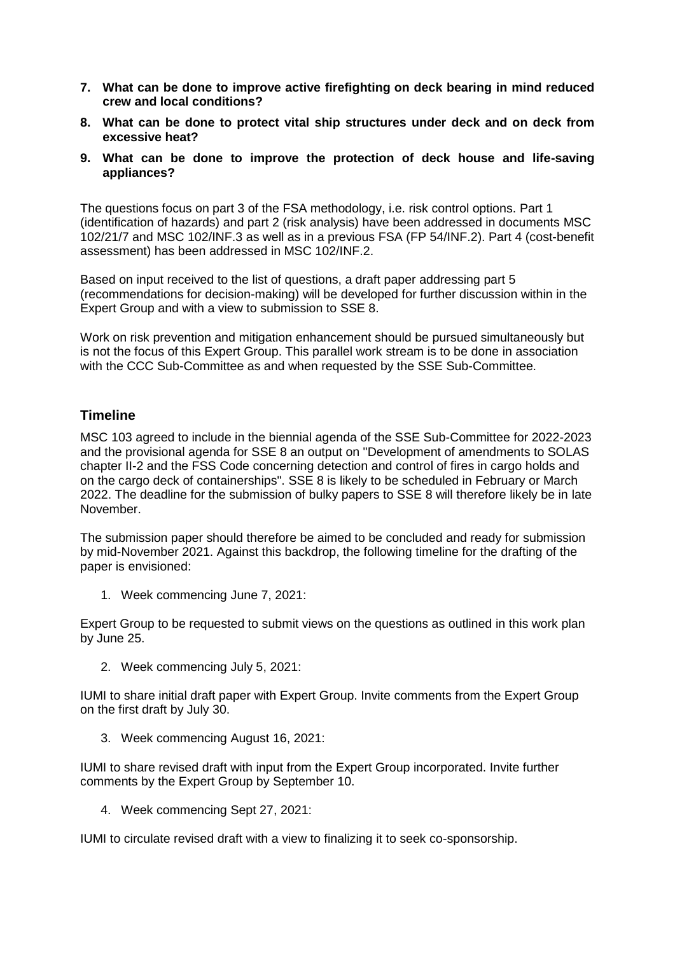- **7. What can be done to improve active firefighting on deck bearing in mind reduced crew and local conditions?**
- **8. What can be done to protect vital ship structures under deck and on deck from excessive heat?**
- **9. What can be done to improve the protection of deck house and life-saving appliances?**

The questions focus on part 3 of the FSA methodology, i.e. risk control options. Part 1 (identification of hazards) and part 2 (risk analysis) have been addressed in documents MSC 102/21/7 and MSC 102/INF.3 as well as in a previous FSA (FP 54/INF.2). Part 4 (cost-benefit assessment) has been addressed in MSC 102/INF.2.

Based on input received to the list of questions, a draft paper addressing part 5 (recommendations for decision-making) will be developed for further discussion within in the Expert Group and with a view to submission to SSE 8.

Work on risk prevention and mitigation enhancement should be pursued simultaneously but is not the focus of this Expert Group. This parallel work stream is to be done in association with the CCC Sub-Committee as and when requested by the SSE Sub-Committee.

#### **Timeline**

MSC 103 agreed to include in the biennial agenda of the SSE Sub-Committee for 2022-2023 and the provisional agenda for SSE 8 an output on "Development of amendments to SOLAS chapter II-2 and the FSS Code concerning detection and control of fires in cargo holds and on the cargo deck of containerships". SSE 8 is likely to be scheduled in February or March 2022. The deadline for the submission of bulky papers to SSE 8 will therefore likely be in late November.

The submission paper should therefore be aimed to be concluded and ready for submission by mid-November 2021. Against this backdrop, the following timeline for the drafting of the paper is envisioned:

1. Week commencing June 7, 2021:

Expert Group to be requested to submit views on the questions as outlined in this work plan by June 25.

2. Week commencing July 5, 2021:

IUMI to share initial draft paper with Expert Group. Invite comments from the Expert Group on the first draft by July 30.

3. Week commencing August 16, 2021:

IUMI to share revised draft with input from the Expert Group incorporated. Invite further comments by the Expert Group by September 10.

4. Week commencing Sept 27, 2021:

IUMI to circulate revised draft with a view to finalizing it to seek co-sponsorship.